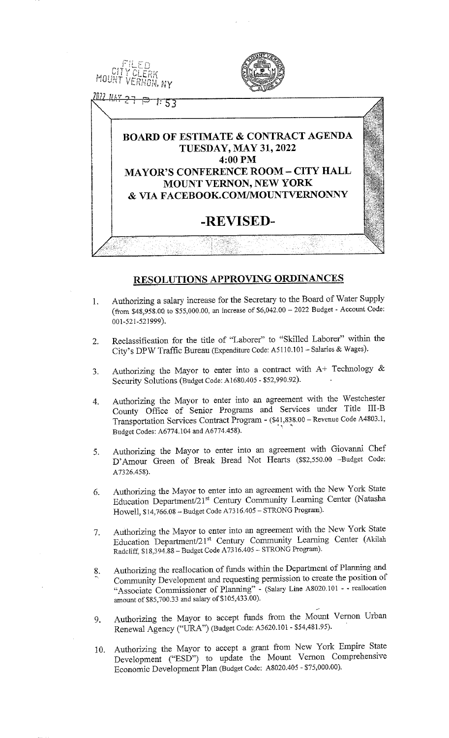

# **RESOLUTIONS APPROVING ORDINANCES**

- Authorizing a salary increase for the Secretary to the Board of Water Supply 1. (from \$48,958.00 to \$55,000.00, an increase of \$6,042.00 - 2022 Budget - Account Code: 001-521-521999).
- Reclassification for the title of "Laborer" to "Skilled Laborer" within the  $\mathcal{D}$ City's DPW Traffic Bureau (Expenditure Code: A5110.101 - Salaries & Wages).
- Authorizing the Mayor to enter into a contract with A+ Technology &  $\mathbf{3}$ . Security Solutions (Budget Code: A1680.405 - \$52,990.92).
- Authorizing the Mayor to enter into an agreement with the Westchester  $\mathbf{4}$ County Office of Senior Programs and Services under Title III-B Transportation Services Contract Program - (\$41,838.00 - Revenue Code A4803.1, Budget Codes: A6774.104 and A6774.458).
- Authorizing the Mayor to enter into an agreement with Giovanni Chef 5. D'Amour Green of Break Bread Not Hearts (\$\$2,550.00 -Budget Code: A7326.458).
- Authorizing the Mayor to enter into an agreement with the New York State 6. Education Department/21st Century Community Learning Center (Natasha Howell, \$14,766.08 - Budget Code A7316.405 - STRONG Program).
- Authorizing the Mayor to enter into an agreement with the New York State 7. Education Department/21st Century Community Learning Center (Akilah Radcliff, \$18,394.88 - Budget Code A7316.405 - STRONG Program).
- Authorizing the reallocation of funds within the Department of Planning and 8. Community Development and requesting permission to create the position of "Associate Commissioner of Planning" - (Salary Line A8020.101 - - reallocation amount of \$85,700.33 and salary of \$105,433.00).
- Authorizing the Mayor to accept funds from the Mount Vernon Urban 9. Renewal Agency ("URA") (Budget Code: A3620.101 - \$54,481.95).
- Authorizing the Mayor to accept a grant from New York Empire State 10. Development ("ESD") to update the Mount Vernon Comprehensive Economic Development Plan (Budget Code: A8020.405 - \$75,000.00).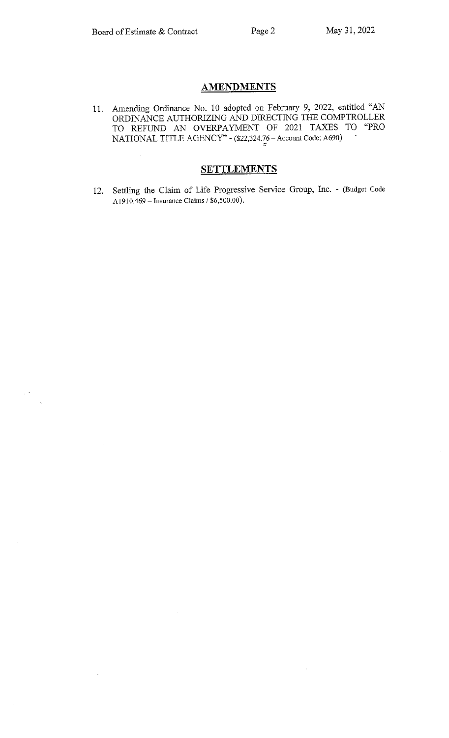## **AMENDMENTS**

11. Amending Ordinance No. 10 adopted on February 9, 2022, entitled "AN ORDINANCE AUTHORIZING AND DIRECTING THE COMPTROLLER TO REFUND AN OVERPAYMENT OF 2021 TAXES TO "PRO NATIONAL TITLE AGENCY" - (\$22,324.76 – Account Code: A690)

## **SETTLEMENTS**

12. Settling the Claim of Life Progressive Service Group, Inc. - (Budget Code A 1910.469 = Insurance Claims /  $$6,500.00$ ).

l,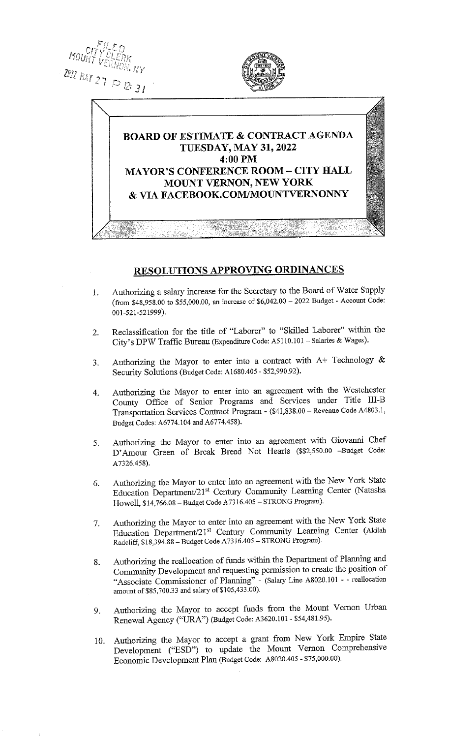



# BOARD OF ESTIMATE & CONTRACT AGENDA TUESDAY, MAY 31, 2022 4:00 PM MAYOR'S CONFERENCE ROOM - CITY HALL MOUNT VERNON, NEW YORK & VIA FACEBOOK.COM/MOUNTVERNONNY

## RESOLUTIONS APPROVING ORDINANCES

- 1. Authorizing a salary increase for the Secretary to the Board of Water Supply (from \$48,958.00 to \$55,000.00, an increase of \$6,042.00 - <sup>2022</sup> Budget - Account Code: 001-521-521999).
- 2. Reclassification for the title of "Laborer" to "Skilled Laborer" within the City"s DPW Traffic Bureau (Expenditure Code: A5110.101 - Salaries & Wages).
- 3. Authorizing the Mayor to enter into a contract with  $A+$  Technology  $\&$ Security Solutions (Budget Code: A1680.405 - \$52,990.92).
- 4. Authorizing the Mayor to enter into an agreement with the Westchester County Office of Senior Programs and Services under TitIe III-B Transportation Services Contract Program - (\$41,838.00 - Revenue Code A4803. 1, Budget Codes: A6774. 104 and A6774.458).
- 5. Authorizing the Mayor to enter into an agreement with Giovanni Chef D'Amour Green of Break Bread Not Hearts (\$\$2,550.00 -Budget Code: A7326.458).
- 6. Authorizing the Mayor to enter into an agreement with the New York State Education Department/21<sup>st</sup> Century Community Learning Center (Natasha Howell, \$14,766.08 - Budget Code A7316.405 - STRONG Program).
- 7. Authorizing the Mayor to enter into an agreement with the New York State Education Department/21s' Century Community Learning Center (Akilah Radcliff, \$18,394.88 - Budget Code A73 16.405 - STRONG Program).
- 8. Authorizing the reallocation of funds within the Department of Planning and Community Development and requesting permission to create the position of "Associate Commissioner of Planning" - (Salary Line A8020.101 - - reallocation amount of \$85,700.33 and salary of \$105,433.00).
- 9. Authorizing the Mayor to accept funds from the Mount Vernon Urban Renewal Agency ("URA") (Budget Code: A3620.101 - \$54,481.95).
- 10. Authorizing the Mayor to accept <sup>a</sup> grant from New York Empire State Development ("ESD") to update the Mount Vernon Comprehensive Economic Development Plan (Budget Code: A8020.405 - \$75,000.00).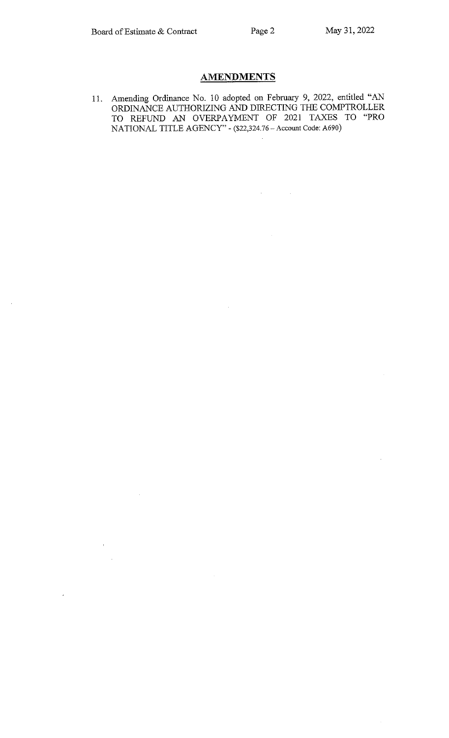$\mathcal{A}^{\text{c}}$  and  $\mathcal{A}^{\text{c}}$  and  $\mathcal{A}^{\text{c}}$ 

## **AMENDMENTS**

11. Amending Ordinance No. 10 adopted on February 9, 2022, entitled "A ORDINANCE AUTHORIZING AND DIRECTING THE COMPTROLLER TO REFUND AN OVERPAYMENT OF 2021 TAXES TO "PRO NATIONAL TITLE AGENCY" - (\$22,324.76 - Account Code: A690)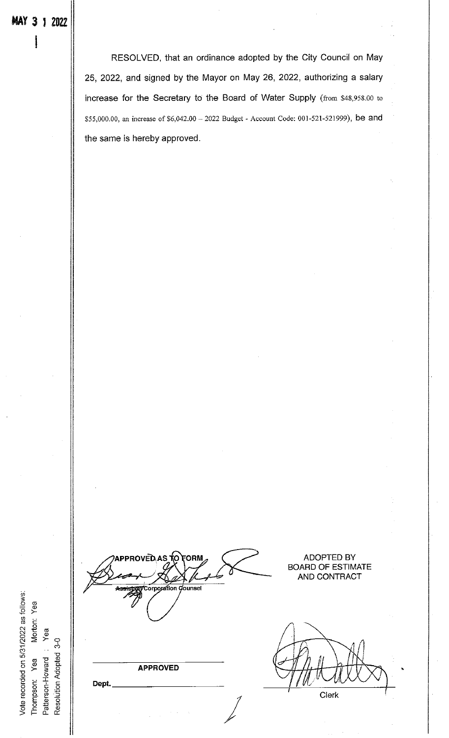RESOLVED, that an ordinance adopted by the City Council on May 25, 2022, and signed by the Mayor on May 26, 2022, authorizing a salary increase for the Secretary to the Board of Water Supply (from \$48,958.00 to \$55,000.00, an increase of \$6,042.00 - 2022 Budget - Account Code: 001-521-521999), be and the same is hereby approved.

c o tm Oa) Patterson-Howard : Yea Resolution Adopted 3-0 Thompson: Yea Dept.

Vote recorded on 5/31/2022 as follows:

ADOPTED BY BOARD OF ESTIMATE AND CONTRACT ounsel rpoj APPROVED Clerk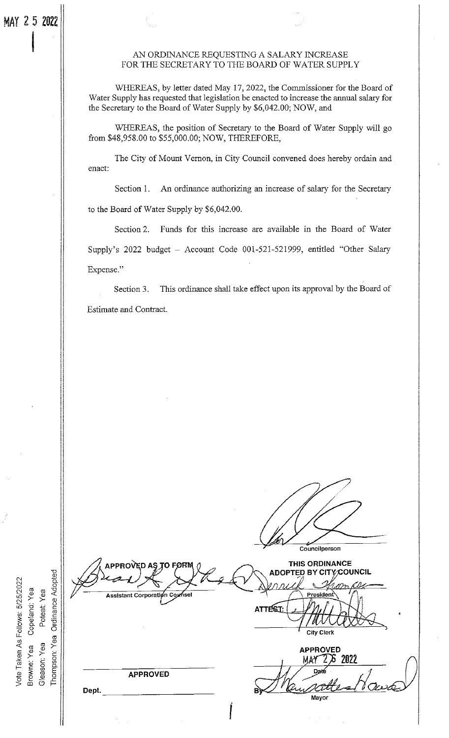i

o o

Poteat: Yea

Vote Taken As Follows: 5/25/2022

e<br>C ర్  $\mathbf{L}$ 

#### AN ORDINANCE REQUESTING A SALARY INCREASE FOR THE SECRETARY TO THE BOARD OF WATER SUPPLY

WHEREAS, by letter dated May 17, 2022, the Commissioner for the Board of Water Supply has requested that legislation be enacted to increase the annual salary for the Secretary to the Board of Water Supply by \$6,042.00; NOW, and

WHEREAS, the position of Secretary to the Board of Water Supply will go from \$48,958.00 to \$55,000.00; NOW, THEREFORE,

The City of Mount Vernon, in City Council convened does hereby ordain and enact:

Section 1. An ordinance authorizing an increase of salary for the Secretary to the Board of Water Supply by \$6,042.00.

Section 2. Funds for this increase are available in the Board of Water Supply's 2022 budget - Account Code 001-521-521999, entitled "Other Salary Expense."

Section 3. This ordinance shall take effect upon its approval by the Board of Estimate and Contract.

Councilperson THIS ORDINANCE PPROVED AŞ TO FØRM **ADOPTED BY CITY/COUNCIL Ordinance Adopted** Assistant Corporation Cou Presiden ATTEST: City Clerk  $Y$ ea APPROVED Thompson 6 2022 MAY Da APPROVED Dept. Mayor f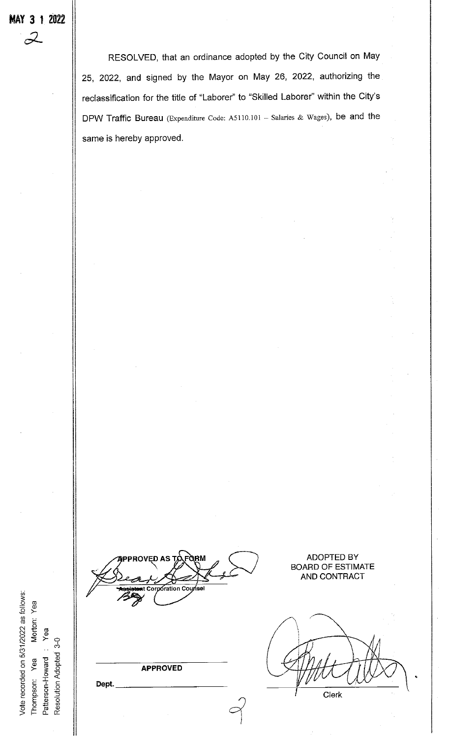RESOLVED, that an ordinance adopted by the City Council on May 25, 2022, and signed by the Mayor on May 26, 2022, authorizing the reclassification for the title of "Laborer" to "Skilled Laborer" within the City's DPW Traffic Bureau (Expenditure Code: A5110.101 - Salaries & Wages), be and the same is hereby approved.

Vote recorded on 5/31/2022 as follows: Morton<br>Yea<br>c

ED AS Σration C.

APPROVED

Dept.

ADOPTED BY BOARD OF ESTIMATE AND CONTRACT

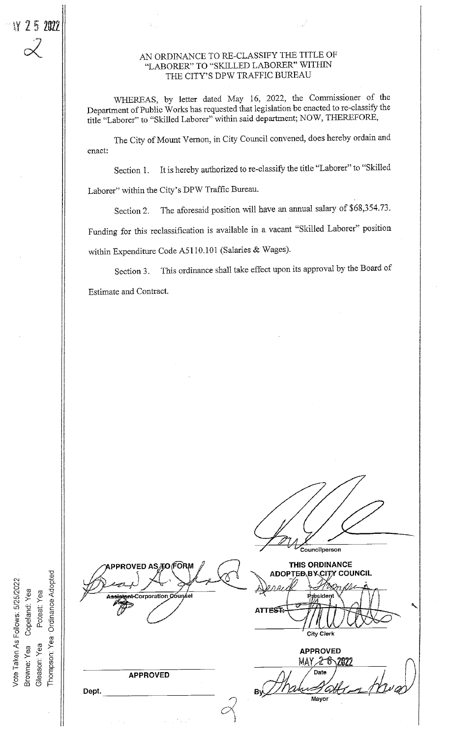8 g

Vote Taken As Follows: 5/25/2022<br>3rowne: Yea Copeland: Yea<br>Gleason: Yea Poteat: Yea

 $\geq$  .  $\geq$  .

a ∰ چ 3 옾 읐 논  $\cup$  -

#### AN ORDINANCE TO RE-CLASSIFY THE TITLE OF "LABORER" TO "SKILLED LABORER" WITHIN THE CITY'S DPW TRAFFIC BUREAU

WHEREAS, by letter dated May 16, 2022, the Commissioner of the Department of Public Works has requested that legislation be enacted to re-classify the title "Laborer" to "Skilled Laborer" witliin said department; NOW, THEREFORE,

The City of Mount Vernon, in City Council convened, does hereby ordain and enact:

Section 1. It is hereby authorized to re-classify the title "Laborer" to "Skilled Laborer" within the City's DPW Traffic Bureau.

Section 2. The aforesaid position will have an annual salary of \$68,354.73. Funding for this reclassification is available in <sup>a</sup> vacant "Skilled Laborer" position within Expenditure Code A5110.101 (Salaries & Wages).

Section 3. This ordinance shall take effect upon its approval by the Board of Estimate and Contract.

Councilperson THIS ORDINANCE 'ED AS*a*to FORM ADOPTEB\BY\CIT\Y COUNCIL Corporation Coun **ATTEST:**  $\mathcal{F}_{\mathcal{F}_{\mathcal{F}}}$ City Clerk APPROVED MAY 2 6\2022 Date APPROVED ву́∠ Dept. **Mayor**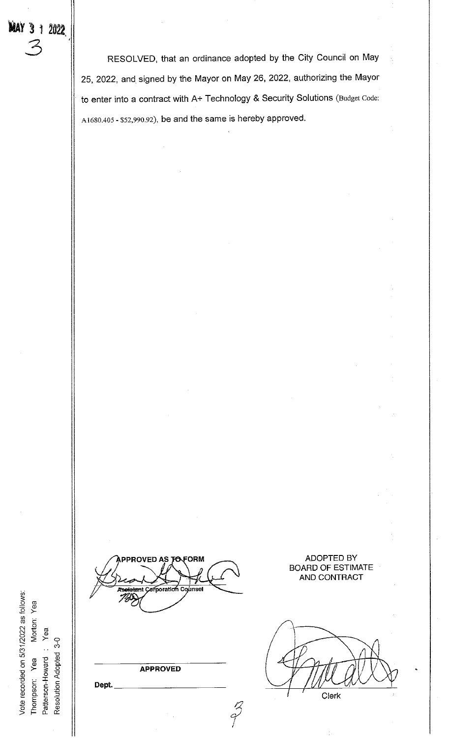Resolution Adopted 3-0

**MAY 3 1 2022** 

 $\frac{1}{2}$ 

**PPROVED AS TO FORM** *e*rporation insel

RESOLVED, that an ordinance adopted by the City Council on May

25, 2022, and signed by the Mayor on May 26, 2022, authorizing the Mayor

to enter into a contract with A+ Technology & Security Solutions (Budget Code:

A1680.405 - \$52,990.92), be and the same is hereby approved.

**APPROVED** 

a)<br>T

Dept.

ADOPTED BY BOARD OF ESTIMATE AND CONTRACT

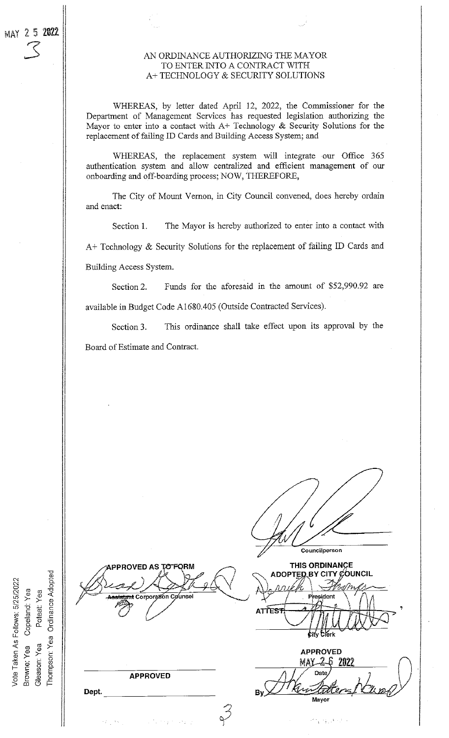#### AN ORDINANCE AUTHORIZING THE MAYOR TO ENTER INTO A CONTRACT WITH A+TECHNOLOGY & SECURITY SOLUTIONS

WHEREAS, by letter dated April 12, 2022, the Commissioner for the Department of Management Services has requested legislation authorizing the Mayor to enter into a contact with A+ Technology & Security Solutions for the replacement of failing ID Cards and Building Access System; and

WHEREAS, the replacement system will integrate our Office 365 authentication system and allow centralized and efficient management of our onboarding and off-boarding process; NOW, THEREFORE,

The City of Mount Vernon, in City Council convened, does hereby ordain and enact:

The Mayor is hereby authorized to enter into a contact with Section 1.  $A+$  Technology & Security Solutions for the replacement of failing ID Cards and Building Access System.

Funds for the aforesaid in the amount of \$52,990.92 are Section 2. available in Budget Code A1680.405 (Outside Contracted Services).

This ordinance shall take effect upon its approval by the Section 3. Board of Estimate and Contract.

Councilperson THIS ORDINANCE **PROVED AS** ADOPTED BY CITY COUNCIL Corporation C ⊿<br>aunse **ATTEST** f Krk **APPROVED** MAK-2 h -2022 **APPROVED** Dept. Mayor

Thompson: Yea Ordinance Adopted Vote Taken As Follows: 5/25/2022 Poteat: Yea Copeland: Yea Browne: Yea Gleason: Yea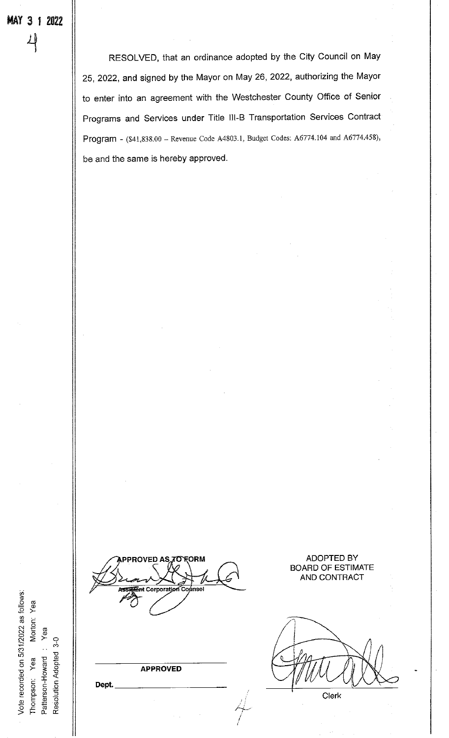RESOLVED, that an ordinance adopted by the City Council on May 25, 2022, and signed by the Mayor on May 26, 2022, authorizing the Mayor to enter into an agreement with the Westchester County Office of Senior Programs and Services under Title 111-B Transportation Services Contract Program - (\$41,838.00 - Revenue Code A4803.1, Budget Codes: A6774.l04 and A6774.458), be and the same is hereby approved.

Vote recorded on 5/31/2022 as follows: Morton Yea Resolution Adopted 3-0 Patterson-Howard: o to a

**APPROVED** 

Dept.

ADOPTED BY BOARD OF ESTIMATE AND CONTRACT

Clerk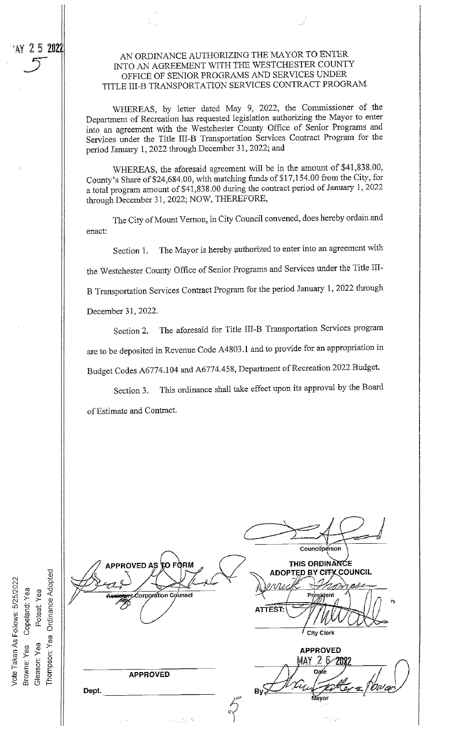AN ORDINANCE AUTHORIZING THE MAYOR TO ENTER INTO AN AGREEMENT WITH THE WESTCHESTER COUNTY OFFICE OF SENIOR PROGRAMS AND SERVICES UNDER TITLE III-B TRANSPORTATION SERVICES CONTRACT PROGRAM

WHEREAS, by letter dated May 9, 2022, the Commissioner of the Department of Recreation has requested legislation authorizing the Mayor to enter into an agreement with the Westchester County Office of Senior Programs and Services under the Title III-B Transportation Services Contract Program for the period January 1, 2022 through December 31, 2022; and

WHEREAS, the aforesaid agreement will be in the amount of \$41,838.00, County's Share of \$24,684.00, with matching funds of \$17,154.00 from the City, for a total program amount of \$41,838.00 during the contract period of January 1, 2022 through December 31, 2022; NOW, THEREFORE,

The City of Mount Vernon, in City Council convened, does hereby ordain and enact:

The Mayor is hereby authorized to enter into an agreement with Section 1. the Westchester County Office of Senior Programs and Services under the Title III-B Transportation Services Contract Program for the period January 1, 2022 through December 31, 2022.

The aforesaid for Title III-B Transportation Services program Section 2. are to be deposited in Revenue Code A4803.1 and to provide for an appropriation in Budget Codes A6774.104 and A6774.458, Department of Recreation 2022 Budget.

This ordinance shall take effect upon its approval by the Board Section 3. of Estimate and Contract.

Councilperson **PPROVED AS** THIS ORDINANCE ന FORM **ADOPTED BY CITX COUNCIL** orporation Counsel ATTEST:  $\prime$  City Clerk **APPROVED** MAY 26/208 Date **APPROVED**  $ByS$ ۵£ Dept.

Thompson: Yea Ordinance Adopted Vote Taken As Follows: 5/25/2022 Copeland: Yea Poteat: Yea Browne: Yea Gleason: Yea

AY 25 2022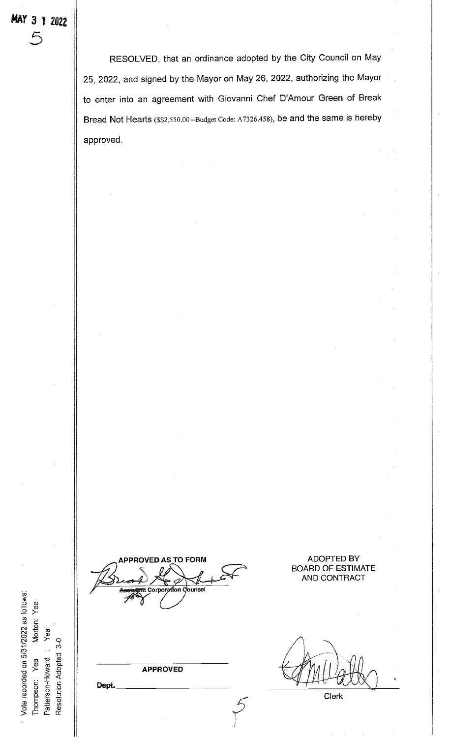$5$ 

RESOLVED, that an ordinance adopted by the City Council on May 25, 2022, and signed by the Mayor on May 26, 2022, authorizing the Mayor to enter into an agreement with Giovanni Chef D'Amour Green of Break Bread Not Hearts (\$\$2,550.00 -Budget Code: A7326.458), be and the same is hereby approved.

**TO FORM IPPROVED AS** on Counse

**ADOPTED BY BOARD OF ESTIMATE** AND CONTRACT

**APPROVED** 

Dept.

Vote recorded on 5/31/2022 as follows:

Morton: Yea

Yea

Patterson-Howard Thompson: Yea

Resolution Adopted 3-0

Clerk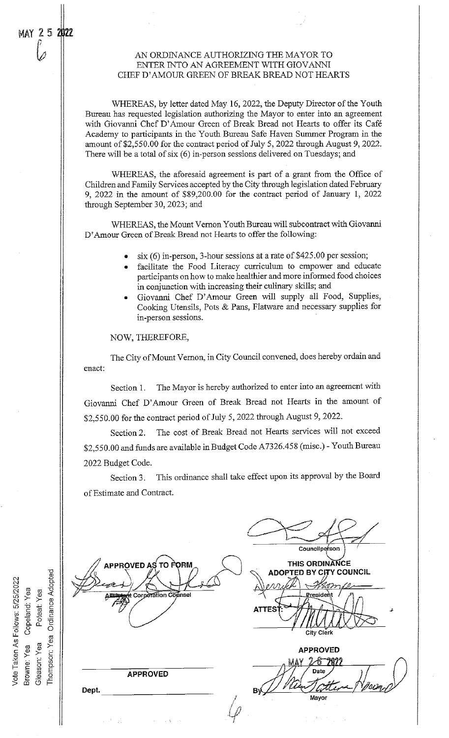r. 2 m<br>C. 2 m

Browne: Yea<br>Gleason: Yea

o

o

#### AN ORDINANCE AUTHORIZING THE MAYOR TO ENTER INTO AN AGREEMENT WITH GIOVANNI CHEF D'AMOUR GREEN OF BREAK BREAD NOT HEARTS

WHEREAS, by letter dated May 16, 2022, the Deputy Director of the Youth Bureau has requested legislation authorizing the Mayor to enter into an agreement with Giovanni Chef D'Amour Green of Break Bread not Hearts to offer its Café Academy to participants in the Youth Bureau Safe Haven Summer Program in the amount of \$2,550.00 for the contract period of July 5, 2022 through August 9, 2022. There will be a total of six (6) in-person sessions delivered on Tuesdays; and

WHEREAS, the aforesaid agreement is part of a grant from the Office of Children and Family Services accepted by the City through legislation dated February 9, 2022 in the amount of \$89,200.00 for the contract period of January 1, 2022 through September 30, 2023; and

WHEREAS, the Mount Vernon Youth Bureau will subcontract with Giovanni D'Amour Green of Break Bread not Hearts to offer the following:

- $s$ ix (6) in-person, 3-hour sessions at a rate of \$425.00 per session;
- facilitate the Food Literacy curriculum to empower and educate participants on how to make healthier and more informed food choices in conjunction with increasing their culinary skills; and
- Giovanni Chef D'Amour Green will supply all Food, Supplies, Cooking Utensils, Pots & Pans, Flatware and necessary supplies for in-person sessions.

NOW, THEREFORE,

The City of Mount Vernon, in City Council convened, does hereby ordain and enact:

Section 1. The Mayor is hereby authorized to enter into an agreement with Giovanni Chef D'Amour Green of Break Bread not Hearts in the amount of \$2,550.00 for the contract period of July 5, 2022 through August 9, 2022.

Section 2. The cost of Break Bread not Hearts services will not exceed \$2,550.00 and funds are available in Budget Code A7326.458 (misc.) - Youth Bureau 2022 Budget Code.

Section 3. This ordinance shall take effect upon its approval by the Board of Estimate and Contract.

Councilperson **THIS ORDINANCE** APPROVED AS TO I ORM **ADOPTED BY CITY COUNCIL** Corporation Counsel <u>Pre</u>sident **ATTES** City Clerk APPROVED -67827 APPROVED  $B\sqrt{2}$ Dept. Mayor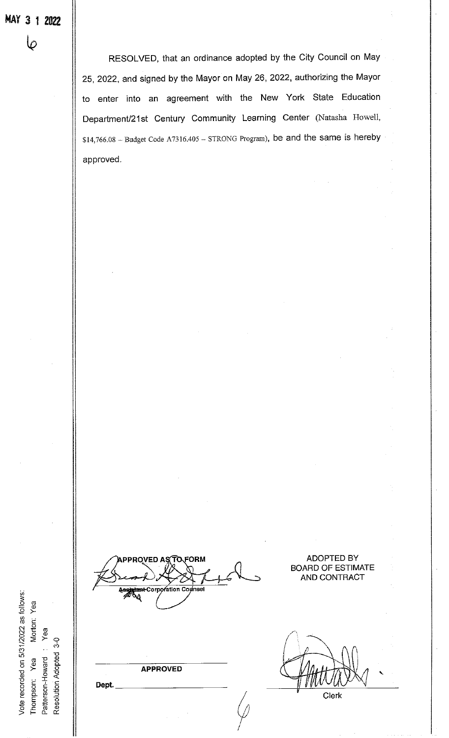$\pmb\varphi$ 

RESOLVED, that an ordinance adopted by the City Council on May 25, 2022, and signed by the Mayor on May 26, 2022, authorizing the Mayor to enter into an agreement with the New York State Education Department/21st Century Community Learning Center (Natasha Howell, \$14,766.08 - Budget Code A7316.405 - STRONG Program), be and the same is hereby approved.

ation Co ۷À

PROVED A

FORM

Ω

ADOPTED BY BOARD OF ESTIMATE AND CONTRACT

**APPROVED** 

Dept.

Clerk

Vote recorded on 5/31/2022 as follows: c o tm Oa) Patterson-Howard : Yea<br>Resolution Adopted 3-0 o o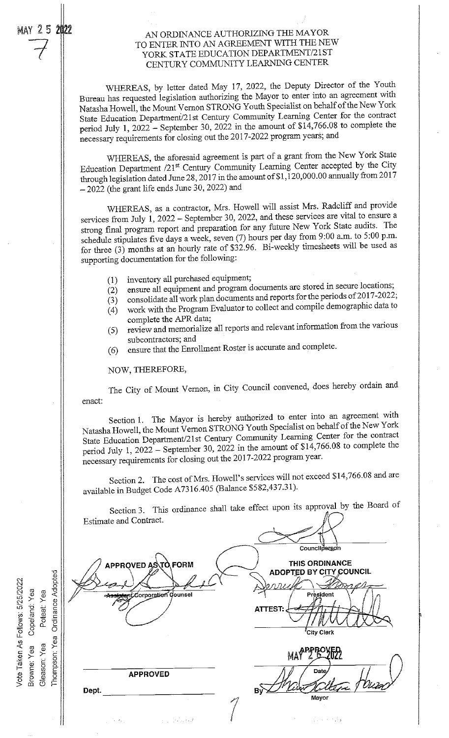may 2.5 2022

#### AN ORDINANCE AUTHORIZING THE MAYOR TO ENTER INTO AN AGREEMENT WITH THE NEW YORK STATE EDUCATION DEPARTMENT/21ST CENTURY COMMUNITY LEARNING CENTER

WHEREAS, by letter dated May 17, 2022, the Deputy Director of the Youth Bureau has requested legislation authorizing the Mayor to enter into an agreement with Natasha Howell, the Mount Vernon STRONG Youth Specialist on belialf of the New York State Education Department/21st Century Community Learning Center for the contract period July 1, <sup>2022</sup> - September 30, <sup>2022</sup> in the amount of \$14,766.08 to complete the necessary requirements for closing out the 2017-2022 program years; and

WHEREAS, the aforesaid agreement is part of <sup>a</sup> grant from the New York State Education Department /21st Century Community Learning Center accepted by the City through legislation dated June 28, 2017 in the amount of \$1,120,000.00 annually from 2017  $-2022$  (the grant life ends June 30, 2022) and

WHEREAS, as <sup>a</sup> contractor, Mrs. Howell will assist Mrs. Radcliff and provide services from July 1, 2022 - September 30, 2022, and these services are vital to ensure a strong final program report and preparation for any future New York State audits. The schedule stipulates five days <sup>a</sup> week, seven (7) hours per day from 9:00 a.m. to 5:00 p.m. for three (3) months at an hourly rate of \$32.96. Bi-weekly timesheets will be used as supporting documentation for the following:

- inventory all purchased equipment;  $(1)$
- ensure all equipment and program documents are stored in secure locations;  $(2)$
- consolidate all work plan documents and reports for the periods of 2017-2022;  $(3)$
- work with the Program Evaluator to collect and compile demographic data to  $(4)$ complete the APR data;
- (5) review and memorialize all reports and relevant information from the various subcontractors; and
- (6) ensure that the Enrollment Roster is accurate and complete.

NOW, THEREFORE,

The City of Mount Vernon, in City Council convened, does hereby ordain and enact:

Section 1. The Mayor is hereby authorized to enter into an agreement with Natasha Howell, the Mount Vernon STRONG Youth Specialist on behalf of the New York State Education Department/21st Century Community Learning Center for the contract period July 1, 2022 - September 30, 2022 in the amount of  $$14,766.08$  to complete the necessary requirements for closing out the 2017-2022 program year.

Section 2. The cost of Mrs. Howell's services will not exceed \$14,766.08 and are available in Budget Code A7316.405 (Balance \$582,437.31).

Section 3. This ordinance shall take effect upon its approval by the Board of Estimate and Contract.Councilperson **FORM** THIS ORDINANCE **PPROVED AS ADOPTED BY CITY COUNCIL** Corporation Counsel President **ATTEST:**  $^{\ell}$ City Clerk MA<sup>PPROVEL</sup> Thompson: Date **APPROVED** ву̀ Dept. Mayor  $\mathcal{L} = \{1, 2, 3, 7\}$  $\chi \to 0$ or dia

Vote Taken As Follows: 5/25/2022 Copelanc<br>Dotai Browne: Yea Gleason. Yea Ordinance Adopted

Yea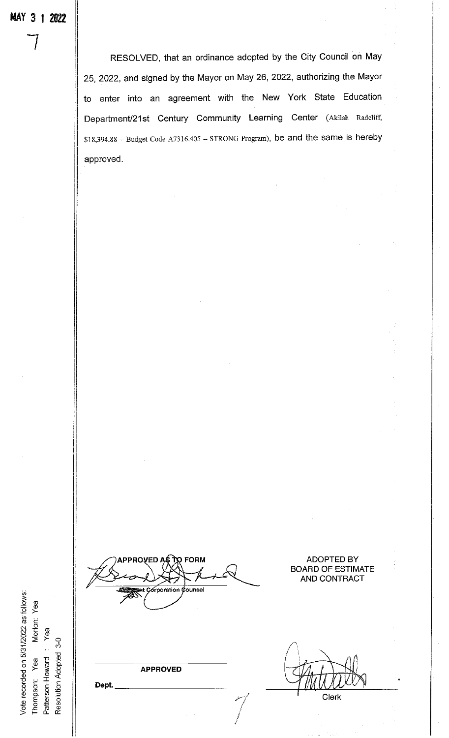$\overline{\phantom{a}}$ 

RESOLVED, that an ordinance adopted by the City Council on May 25, 2022, and signed by the Mayor on May 26, 2022, authorizing the Mayor to enter into an agreement with the New York State Education Department/21st Century Community Learning Center (Akilah Radcliff,  $$18,394.88 - Budget Code A7316.405 - STRONG Program$ , be and the same is hereby approved.

Vote recorded on 5/31/2022 as follows: orton Yea Resolution Adopted 3-0 Patterson-Howard: Thompson: Yea

PROVED AS TO FORM ADOPTED BY orporation Counsei

**APPROVED** 

BOARD OF ESTIMATE AND CONTRACT

Clerk

Dept.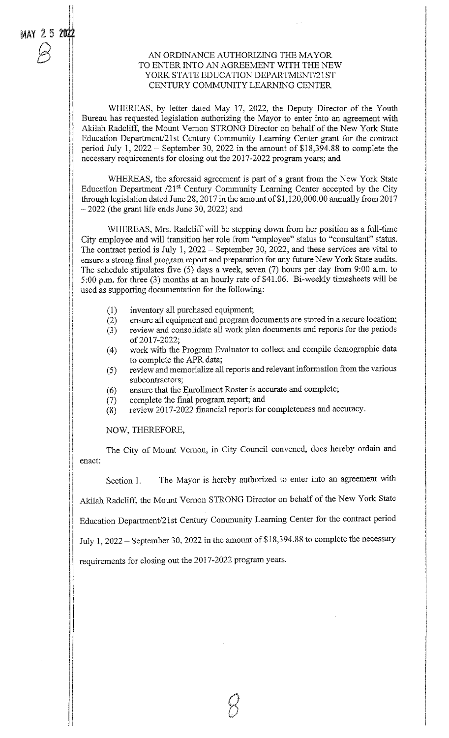)li

#### AN ORDINANCE AUTHORIZING THE MAYOR TO ENTER INTO AN AGREEMENT WITH THE NEW YORK STATE EDUCATION DEPARTMENT/21ST CENTURY COMMUNITY LEARNING CENTER

WHEREAS, by letter dated May 17, 2022, the Deputy Director of the Youth Bureau has requested legislation authorizing the Mayor to enter into an agreement with Akilah Radcliff, the Mount Vernon STRONG Director on behalf of the New York State Education Department/21st Century Community Learning Center grant for the contract period July 1, 2022 - September 30, 2022 in the amount of \$18,394.88 to complete the necessary requirements for closing out the 2017-2022 program years; and

WHEREAS, the aforesaid agreement is part of a grant from the New York State Education Department  $/21^{st}$  Century Community Learning Center accepted by the City through legislation dated June 28, 2017 in the amount of  $$1,120,000.00$  annually from 2017  $-2022$  (the grant life ends June 30, 2022) and

WHEREAS, Mrs. Radcliff will be stepping down from her position as a full-time City employee and will transition her role from "employee" status to "consultant" status. The contract period is July 1,  $2022 -$  September 30,  $2022$ , and these services are vital to ensure a strong final program report and preparation for any future New York State audits. The schedule stipulates five (5) days a week, seven (7) hours per day from 9:00 a.m. to 5:00 p.m. for three (3) months at an hourly rate of \$41.06. Bi-weekly timesheets will be used as supporting documentation for the following:

- $(1)$  inventory all purchased equipment;
- (2) ensure all equipment and program documents are stored in a secure location;
- (3) review and consolidate all work plan documents and reports for the periods of 2017-2022;
- (4) work with the Program Evaluator to collect and compile demographic data to complete the APR data;
- (5) review and memorialize all reports and relevant information from the various subcontractors;
- (6) ensure that the Enrollment Roster is accurate and complete;
- (7) complete the final program report; and
- (8) review 2017-2022 financial reports for completeness and accuracy.

NOW, THEREFORE,

The City of Mount Vernon, in City Council convened, does hereby ordain and enact:

Section 1. The Mayor is hereby authorized to enter into an agreement with Akilah Radcliff, the Mount Vernon STRONG Director on behalf of the New York State

Education Department/21st Century Community Learning Center for the contract period

July 1, 2022 - September 30, 2022 in the amount of \$18,394.88 to complete the necessary

requirements for closing out the 2017-2022 program years.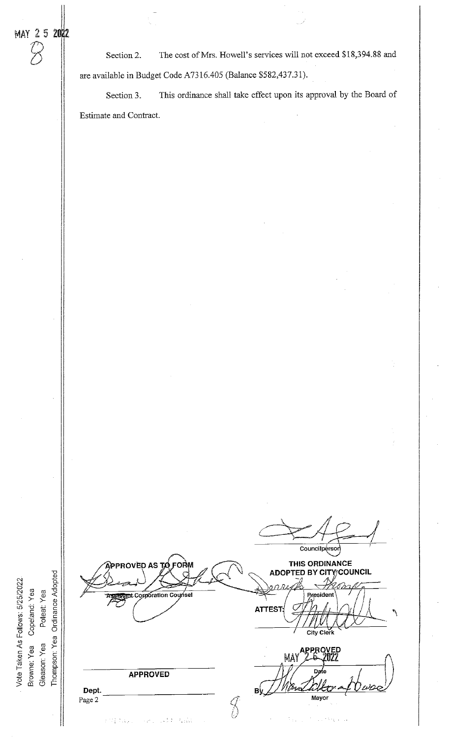$\oslash$ 

o o

> a) c 3> o  $\alpha$

Thompson: Yea Ordinance Adopted

Poteat: Yea

Gleason: Yea

Section 2. The cost of Mrs. Howell's services will not exceed \$18,394.88 and are available in Budget Code A7316.405 (Balance \$582,437.31).

Section 3. This ordinance shall take effect upon its approval by the Board of Estimate and Contract.

Councilpersor THIS ORDINANCE **ROVED AS ADOPTED BY CITY/COUNCIL** Corporation Counsel Presiden **ATTEST** City Clerk PRC May D APPROVED  $B_X^{\langle}$ Dept. Page 2 Mayor $\mathcal{S}$  $\frac{1}{2}$  .  $\sim$  155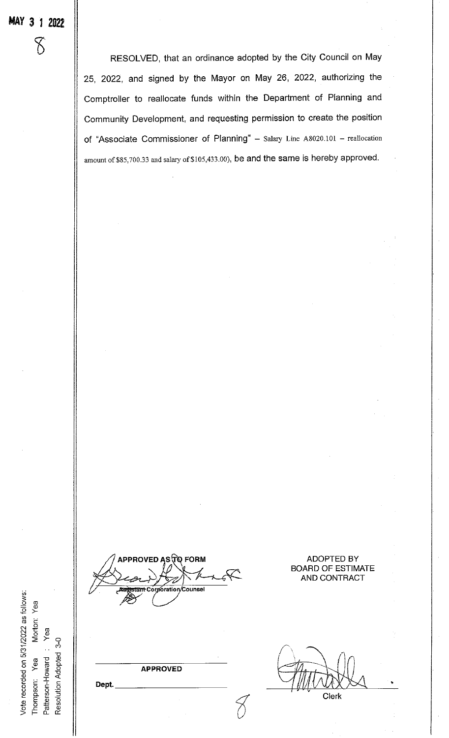$\delta$ 

RESOLVED, that an ordinance adopted by the City Council on May 25, 2022, and signed by the Mayor on May 26, 2022, authorizing the Comptroller to reallocate funds within the Department of Planning and Community Development, and requesting permission to create the position of "Associate Commissioner of Planning" - Salary Line A8020.101 - reallocation amount of \$85,700.33 and salary of \$105,433.00), be and the same is hereby approved.

APPROVED AS ΤΟ FORM Corporation/Counse

**ADOPTED BY BOARD OF ESTIMATE** AND CONTRACT

**APPROVED** 

Clerk

Vote recorded on 5/31/2022 as follows: Morton: Yea Yea Resolution Adopted 3-0 Patterson-Howard: Thompson: Yea

Dept.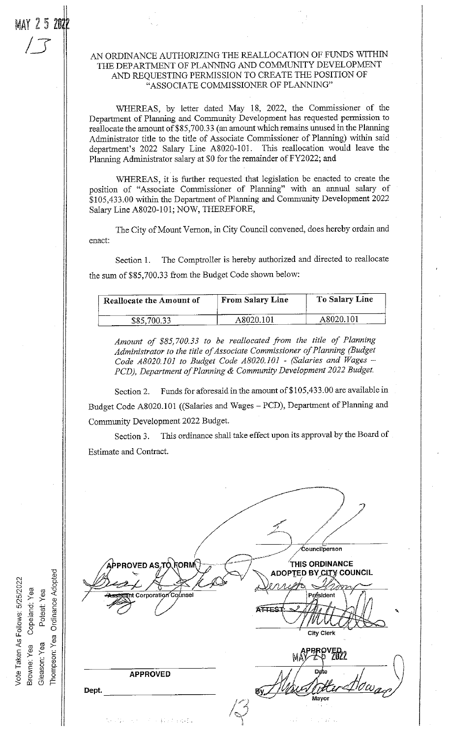MAY 25 202

 $\sqrt{\phantom{a}}$ 

#### AN ORDINANCE AUTHORIZING THE REALLOCATION OF FUNDS WITHIN THE DEPARTMENT OF PLANNING AND COMMUNITY DEVELOPMENT AND REQUESTING PERMISSION TO CREATE THE POSITION OF "ASSOCIATE COMMISSIONER OF PLANNING"

WHEREAS, by letter dated May 18, 2022, the Commissioner of the Department of Planning and Community Development has requested permission to reallocate the amount of \$85,700.33 (an amount which remains unused in the Planning Administrator title to the title of Associate Commissioner of Planning) within said department's 2022 Salary Line A8020-101. This reallocation would leave the Planning Administrator salary at \$0 for the remainder of FY2022; and

WHEREAS, it is further requested that legislation be enacted to create the position of "Associate Commissioner of Planning" with an annual salary of \$105,433.00 within the Department of Planning and Community Development 2022 Salary Line A8020-101; NOW, THEREFORE,

The City of Mount Vernon, in City Council convened, does hereby ordain and enact:

Section I. The Comptroller is hereby authorized and directed to reallocate the sum of \$85,700.33 from the Budget Code shown below:

| <b>Reallocate the Amount of</b> | <b>From Salary Line</b> | To Salary Line |
|---------------------------------|-------------------------|----------------|
| \$85,700.33                     | A8020.101               | A8020.101      |

Amount of \$85,700.33 to be reallocated from the title of Planning Administrator to the title of Associate Commissioner of Planning (Budget Code A8020.101 to Budget Code A8020.101 - (Salaries and Wages -PCD), Department of Planning & Community Development 2022 Budget.

Section 2. Funds for aforesaid in the amount of \$105,433.00 are available in Budget Code A8020.101 ((Salaries and Wages - PCD), Department of Planning and Community Development 2022 Budget.

Section 3. This ordinance shall take effect upon its approval by the Board of Estimate and Contract.

/ / Councilperson PROVED AS TO FORM **THIS ORDINANCE** ADOPTED BY CITY COUNCIL Corporation Counsel Président ATTES  $\sqrt{m}$  if  $\sqrt{m}$ City Clerk PRROVED<sub>2</sub> APPROVED Еу∠ Dept. way ad values of

Poteat: Yea<br>Ordinance Adopted Yea Copeland: Yea  $Yea$ Yea o  $\overline{r}$  e  $\overline{S}$ o Ō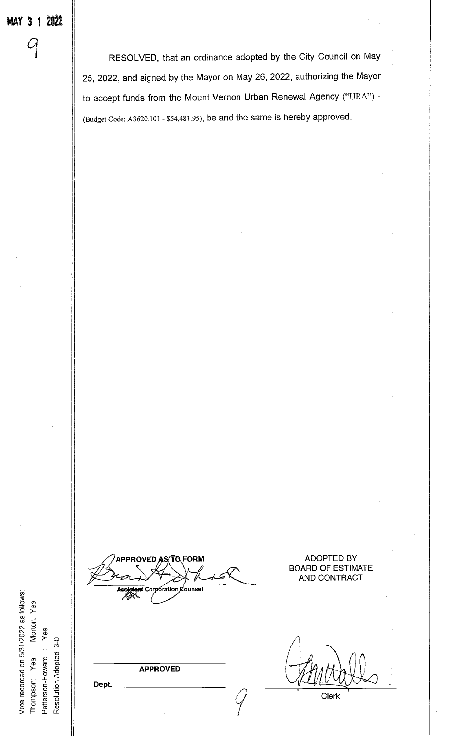RESOLVED, that an ordinance adopted by the City Council on May 25, 2022, and signed by the Mayor on May 26, 2022, authorizing the Mayor to accept funds from the Mount Vernon Urban Renewal Agency ("URA") -(Budget Code: A3620.101 - \$54,481.95), be and the same is hereby approved.

**QFORM** RO) VFD ื่อoration Counse Cor

**ADOPTED BY BOARD OF ESTIMATE** AND CONTRACT

**APPROVED** 

Clerk

Dept.

Vote recorded on 5/31/2022 as follows:

Morton: Yea

Thompson: Yea

Patterson-Howard: Yea Resolution Adopted 3-0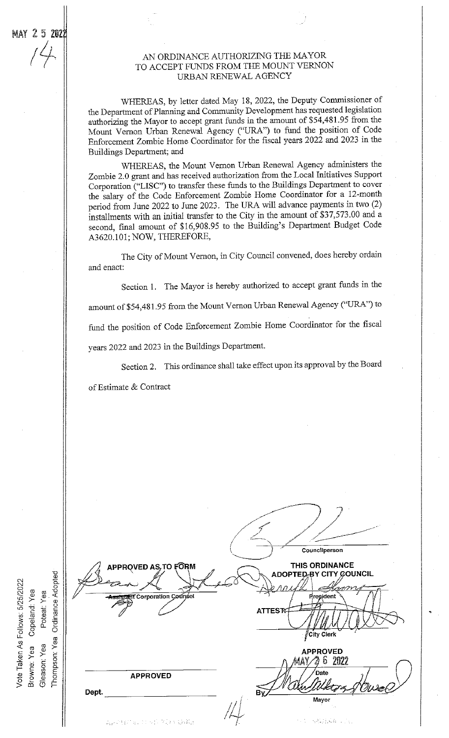#### AN ORDINANCE AUTHORIZING THE MAYOR TO ACCEPT FUNDS FROM THE MOUNT VERNON URBAN RENEWAL AGENCY

WHEREAS, by letter dated May 18, 2022, the Deputy Commissioner of the Department of Planning and Community Development has requested legislation authorizing the Mayor to accept grant funds in the amount of \$54,481.95 from the Mount Vernon Urban Renewal Agency ("URA") to fund the position of Code Enforcement Zombie Home Coordinator for the fiscal years 2022 and 2023 in the Buildings Department; and

WHEREAS, the Mount Vernon Urban Renewal Agency administers the Zombie 2.0 grant and has received authorization from the Local Initiatives Support Corporation ("LISC") to transfer these funds to the Buildings Department to cover the salary of the Code Enforcement Zombie Home Coordinator for a 12-month period from June 2022 to June 2023. The URA will advance payments in two (2) installments with an initial transfer to the City in the amount of  $$37,573.00$  and a second, final amount of \$16,908.95 to the Building's Department Budget Code A3620.101; NOW, THEREFORE,

The City of Mount Vernon, in City Council convened, does hereby ordain and enact:

Section 1. The Mayor is hereby authorized to accept grant funds in the amount of \$54,481.95 from the Mount Vernon Urban Renewal Agency ("URA") to fund the position of Code Enforcement Zombie Home Coordinator for the fiscal years 2022 and 2023 in the Buildings Department.

Section 2. This ordinance shall take effect upon its approval by the Board

of Estimate & Contract

|                                                                                   |                                      | Councilperson                                                                                                                                       |
|-----------------------------------------------------------------------------------|--------------------------------------|-----------------------------------------------------------------------------------------------------------------------------------------------------|
|                                                                                   | APPROVED AS, TO FORM                 | THIS ORDINANCE                                                                                                                                      |
|                                                                                   |                                      | ADOPTED-BY CITY COUNCIL                                                                                                                             |
|                                                                                   |                                      | novo                                                                                                                                                |
| ී<br>≻                                                                            | <b>Assistant Corporation Counsel</b> | President                                                                                                                                           |
|                                                                                   |                                      |                                                                                                                                                     |
| Ordinance Adopted<br>Vote Taken As Follows: 5/25/2022<br>Poteat: Yea<br>Copeland: |                                      | <b>ATTEST:</b>                                                                                                                                      |
|                                                                                   |                                      | City Clerk                                                                                                                                          |
| Yea                                                                               |                                      | <b>APPROVED</b>                                                                                                                                     |
| Gleason: Yea<br>Browne: Yea<br>Thompson:                                          |                                      | S<br>2022<br>4AY.                                                                                                                                   |
|                                                                                   |                                      | Date                                                                                                                                                |
|                                                                                   | <b>APPROVED</b>                      |                                                                                                                                                     |
|                                                                                   | Dept.                                | By,                                                                                                                                                 |
|                                                                                   |                                      | Mayor                                                                                                                                               |
|                                                                                   |                                      |                                                                                                                                                     |
|                                                                                   | などのほどないことを持っていく気候と                   | $\label{eq:2.1} \mathcal{F}(\mathcal{F}) = \mathcal{F}(\mathcal{F}(\mathcal{F})) \mathcal{F}(\mathcal{F}(\mathcal{F})) = \mathcal{F}(\mathcal{F}).$ |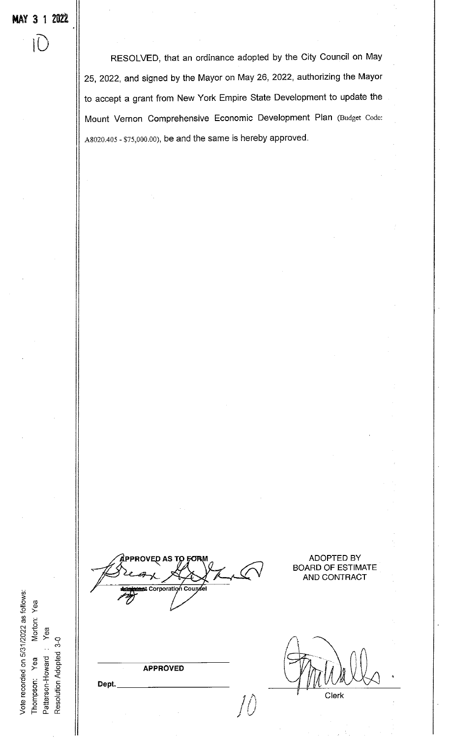RESOLVED, that an ordinance adopted by the City Council on May 25, 2022, and signed by the Mayor on May 26, 2022, authorizing the Mayor to accept a grant from New York Empire State Development to update the Mount Vernon Comprehensive Economic Development Plan (Budget Code: A8020.405 - \$75,000.00), be and the same is hereby approved.

Corporatioń Co

APPROVED

Dept.

 $\int\!\!\int$ 

Clerk

ADOPTED BY BOARD OF ESTIMATE AND CONTRACT

Patterson-Howard : Yea o E o

orton

Vote recorded on 5/31/2022 as follows:

Resolution Adopted 3-0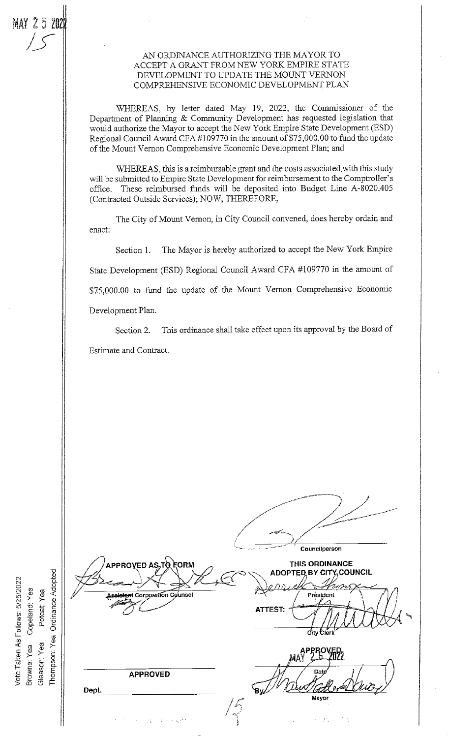**MAY 2520** 

#### AN ORDINANCE AUTHORIZING THE MAYOR TO ACCEPT A GRANT FROM NEW YORK EMPIRE STATE DEVELOPMENT TO UPDATE THE MOUNT VERNON COMPREHENSIVE ECONOMIC DEVELOPMENT PLAN

WHEREAS, by letter dated May 19, 2022, the Commissioner of the Department of Planning & Community Development has requested legislation that would authorize the Mayor to accept the New York Empire State Development (ESD) Regional Council Award CFA #109770 in the amount of \$75,000.00 to fund the update of the Mount Vernon Comprehensive Economic Development Plan; and

WHEREAS, this is a reimbursable grant and the costs associated with this study will be submitted to Empire State Development for reimbursement to the Comptroller's These reimbursed funds will be deposited into Budget Line A-8020.405 office. (Contracted Outside Services); NOW, THEREFORE,

The City of Mount Vernon, in City Council convened, does hereby ordain and enact:

The Mayor is hereby authorized to accept the New York Empire Section 1. State Development (ESD) Regional Council Award CFA #109770 in the amount of \$75,000.00 to fund the update of the Mount Vernon Comprehensive Economic Development Plan.

This ordinance shall take effect upon its approval by the Board of Section 2. Estimate and Contract.

Councilperson APPROVED AS τα <del>c</del>ORM THIS ORDINANCE **ADOPTED BY CITY COUNCIL** Ordinance Adopted **Corporation Counsel** President **ATTEST:**  $\vec{c}$ ity **APPROVED** Dept. `Bv Mavor

Vote Taken As Follows: 5/25/2022 Copeland: Yea Poteat: Yea Thompson: Yea Gleason: Yea Browne: Yea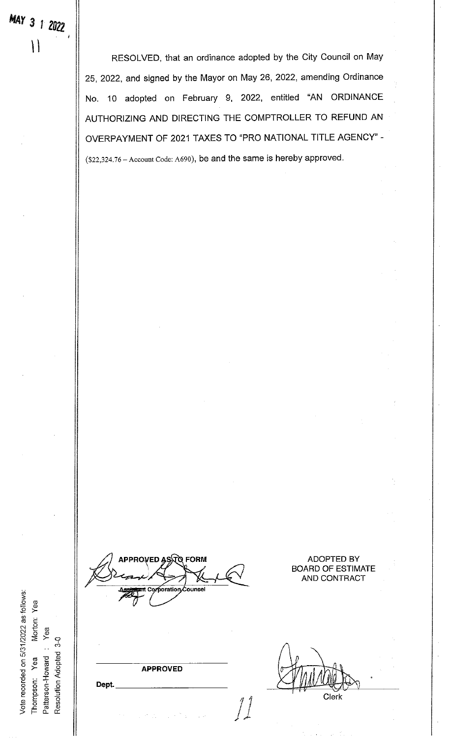RESOLVED, that an ordinance adopted by the City Council on May 25, 2022, and signed by the Mayor on May 26, 2022, amending Ordinance No. 10 adopted on February 9, 2022, entitled "AN ORDINANCE AUTHORIZING AND DIRECTING THE COMPTROLLER TO REFUND AN OVERPAYMENT OF 2021 TAXES TO "PRO NATIONAL TITLE AGENCY" - (\$22,324.76 - Account Code: 4690), be and the same is hereby approved.

APPROVED ASኣገତ FORM oration ounse.

ADOPTED BY BOARD OF ESTIMATE AND CONTRACT

APPROVED

Morton<br>Yea<br>.

Patterson-Howard : Resolution Adopted

**of the contract of the contract of the contract of the contract of the contract of the contract of the contract** 

Vote recorded on 5/31/2022 as follows:

o

 $3-0$ 

Clerk

Dept.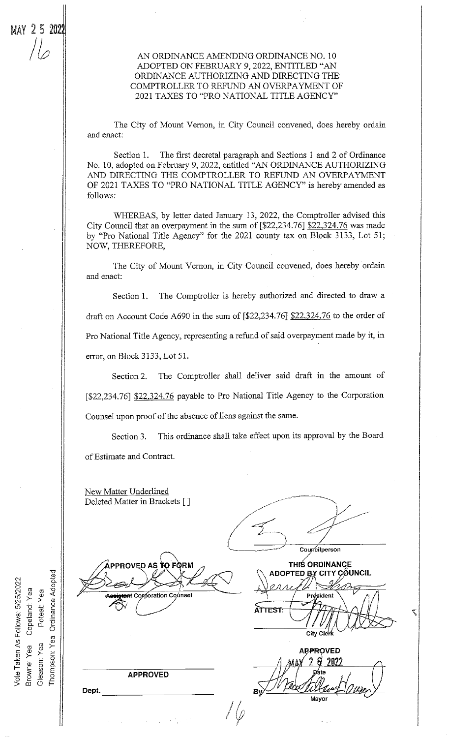#### AN ORDINANCE AMENDING ORDINANCE N0. 10 ADOPTED ON FEBRUARY 9, 2022, ENTITLED "AN ORDINANCE AUTHORIZING AND DIRECTING THE COMPTROLLER TO REFUND AN OVERPAYMENT OF 2021 TAXES TO "PRO NATIONAL TITLE AGENCY"

The City of Mount Vernon, in City Council convened, does hereby ordain and enact:

Section 1. The first decretal paragraph and Sections 1 and 2 of Ordinance No. 10, adopted on February 9, 2022, entitled "AN ORDINANCE AUTHORIZING AND DIRECTING THE COMPTROLLER TO REFUND AN OVERPAYMENT OF 2021 TAXES TO "PRO NATIONAL TITLE AGENCY" is hereby amended as follows:

WHEREAS, by letter dated Jamiary 13, 2022, the Comptroller advised this City Council that an overpayment in the sum of  $[^22,234.76]$   $$22,324.76$  was made by "Pro National Title Agency" for the 2021 county tax on Block 3133, Lot 51; NOW, THEREFORE,

The City of Mount Vernon, in City Council convened, does hereby ordain and enact:

Section 1. The Comptroller is hereby authorized and directed to draw a draft on Account Code A690 in the sum of  $[^{22,234.76}]$   $[^{22,324.76}$  to the order of Pro National Title Agency, representing a refund of said overpayment made by it, in error, on Block 3133, Lot 51.

Section2. The Comptroller shall deliver said draft in the amount of [\$22,234.76] \$22,324.76 payable to Pro National Title Agency to the Corporation Counsel upon proof of the absence of liens against the same.

Section 3. This ordinance shall take effect upon its approval by the Board of Estimate and Contract.

New Matter Underlined Deleted Matter in Brackets [ ] Councilperson **THIS ORDINANCE** PPROVED AS TO FORM \DOPTED BY CITY CØUNCIL orporation Counsel  $\ddot{\rm x}$ iden  $\setminus$  /  $\setminus$  /  $\setminus$  $A_{\lambda}$   $\lambda$   $\lambda$  /  $\lambda$  ii **ATTEST**  $H$   $\mathbb{R}$   $\downarrow$   $\uparrow$   $\uparrow$   $\downarrow$   $\downarrow$  $\frac{1}{\left|1\right|}\prod\limits_{\mathsf{City}\text{ }\mathsf{C} \text{lerk}}$ **APPROVED** 2 ฮิ – 202 APPROVED  $\frac{1}{2}$ Bv Dept. **Mayor** 

**Ordinance Adopted** vs: 5<br>Jand<br>Jeat  $\geq$   $\geq$   $\geq$   $\geq$ Gleason: Yea Browne: Yea o o